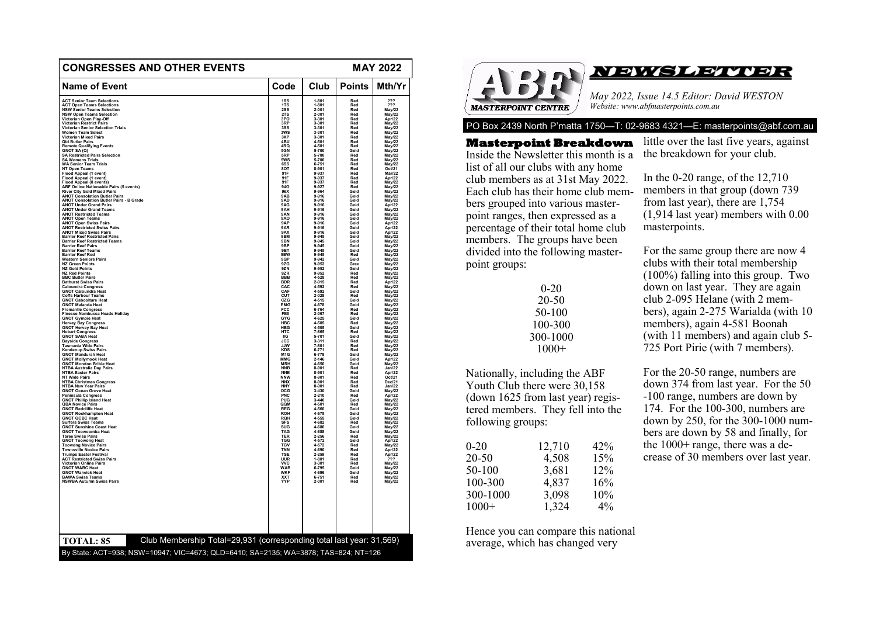|                                                                             |                          |                    |               | <b>MAY 2022</b>         |
|-----------------------------------------------------------------------------|--------------------------|--------------------|---------------|-------------------------|
| <b>Name of Event</b>                                                        | Code                     | Club               | <b>Points</b> | Mth/Yr                  |
| <b>ACT Senior Team Selections</b>                                           | 1SS                      | 1-801              | Red           | ???                     |
| <b>ACT Open Teams Selections</b>                                            | 1TS<br>2SS               | 1-801<br>$2 - 001$ | Red<br>Red    | ???                     |
| <b>NSW Senior Teams Selection<br/>NSW Open Teams Selection</b>              | 2TS                      | $2 - 001$          | Red           | May/22<br>May/22        |
| Victorian Open Play-Off                                                     | 3PO<br>3RP               | 3-301<br>3-301     | Red           | Apr/22<br>May/22        |
| <b>Victorian Restrict Pairs</b><br><b>Victorian Senior Selection Trials</b> | 3SS                      | 3-301              | Red<br>Red    | May/22                  |
| <b>Women Team Select</b>                                                    | 3WS                      | 3-301              | Red           | May/22                  |
| <b>Victorian Mixed Pairs</b>                                                | 3XP<br>4RH               | 3-301<br>4.501     | Red           | May/22                  |
| <b>Old Butler Pairs</b><br><b>Remote Qualifying Events</b>                  | 4RQ                      | 4-501              | Red<br>Red    | May/22<br>May/22        |
| GNOT SA (Q)                                                                 | 5GN                      | $5 - 700$<br>5-700 | Gold          | May/22                  |
| <b>SA Restricted Pairs Selection</b>                                        | <b>SRP</b><br>5WS        |                    | Red           | <b>May/22</b>           |
| SA Womens Trials<br>WA Senior Team Trials                                   | 6SS                      | 5-700<br>$6 - 751$ | Red<br>Red    | May/22<br>May/22        |
| NT Open Teams                                                               | 8OT                      | 8-901              | Red           | Oct/21                  |
|                                                                             | <b>91F</b>               | 9-937              | Red           | <b>Mar/22</b>           |
| Flood Appeal (1 event)<br>Flood Appeal (1 event)<br>Flood Appeal (8 events) | 91F<br>91F               | 9-937<br>9-937     | Red<br>Red    | Apr/22<br>May/22        |
| ABF Online Nationwide Pairs (5 events)                                      | 940                      | 9-927              | Red           | May/22                  |
| <b>River City Gold Mixed Pairs</b><br><b>ANOT Consolation Butler Pairs</b>  | 96X                      | 9-964<br>$9 - 916$ | Gold          | May/22<br>May/22        |
| <b>ANOT Consolation Butler Pairs - B Grade</b>                              | 9AB<br>9AD               | 9-916              | Gold<br>Gold  | May/22                  |
| <b>ANOT Under Grand Pairs</b>                                               | 9AG                      | 9-916              | Gold          | Apr/22                  |
| <b>ANOT Under Grand Teams</b>                                               | 9AH                      | 9-916              | Gold          | May/22                  |
| <b>ANOT Restricted Teams</b><br><b>ANOT Open Teams</b>                      | 9AN<br>9AO               | $9 - 916$<br>9-916 | Gold<br>Gold  | <b>May/22</b><br>May/22 |
| <b>ANOT Open Swiss Pairs</b>                                                | 9AP                      | 9-916              | Gold          | Apr/22                  |
| <b>ANOT Restricted Swiss Pairs<br/>ANOT Mixed Swiss Pairs</b>               | 9AR                      | 9-916              | Gold          | Apr/22                  |
| <b>Barrier Reef Restricted Pairs</b>                                        | 9AX<br>9BM               | 9-916<br>9-945     | Gold<br>Gold  | Apr/22<br>May/22        |
| <b>Barrier Reef Restricted Teams</b>                                        | 9 <sub>BN</sub>          | 9-945              | Gold          | May/22                  |
| <b>Barrier Reef Pairs</b>                                                   | 9BP                      | $9 - 945$          | Gold          | May/22<br>May/22        |
| <b>Barrier Reef Teams</b><br><b>Barrier Reef Red</b>                        | 9BT<br>9BW               | 9-945<br>$9 - 945$ | Gold<br>Red   | May/22                  |
|                                                                             |                          | 9-942              | Gold          |                         |
| Western Seniors Pairs<br>NZ Green Points                                    | 9QP<br>9ZG               | $9 - 952$          | Gree          | May/22<br>May/22        |
| <b>NZ Gold Points</b>                                                       | 9ZN                      | 9-952              | Gold          | May/22                  |
| NZ Red Points<br>BBC Butler Pairs                                           | 9ZR<br><b>BBB</b>        | $9 - 952$<br>4-528 | Red<br>Red    | May/22<br><b>May/22</b> |
| <b>Bathurst Swiss Pairs</b>                                                 | <b>BDR</b>               | $2 - 015$          | Red           | Apr/22                  |
| <b>Caloundra Congress</b><br><b>GNOT Caloundra Heat</b>                     | CAC<br>CAF               | 4-592<br>4.592     | Red<br>Gold   | May/22                  |
| <b>Coffs Harbour Teams</b>                                                  | CUT                      | 2-028              | Red           | May/22                  |
| <b>GNOT Caboolture Heat</b>                                                 | czc                      | $4 - 515$          | Gold          | May/22<br>May/22        |
| <b>GNOT Malanda Heat</b>                                                    | <b>EMG</b>               | 4-678              | Gold          | May/22                  |
| Fremantle Congress<br>Finesse Nambucca Heads Holiday                        | <b>FCC</b><br>FE0        | 6-764<br>2-067     | Red<br>Red    | May/22<br>May/22        |
| <b>GNOT Gympie Heat</b>                                                     | GYG                      | 4-625              | Gold          | May/22                  |
| <b>Hervey Bay Congress</b><br>GNOT Hervey Bay Heat                          | <b>HBC</b><br><b>HBG</b> | 4.505<br>4-505     | Red<br>Gold   | <b>May/22</b>           |
|                                                                             | HTC                      | 7-865              | Red           | May/22<br>Mav/22        |
| Hobart Congress<br>GNOT SABA Heat                                           | IIG                      | 5-701              | Gold          | May/22                  |
| Bayside Congress<br>Tasmania Wide Pairs                                     | <b>JJW</b>               | 3-311<br>7-801     | Red<br>Red    | May/22<br>May/22        |
| Kendenup Swiss Pairs                                                        | KDS                      | $6 - 771$          | Red           | May/22                  |
| <b>GNOT Mandurah Heat</b>                                                   | M1G                      | $6 - 778$<br>2-146 | Gold          | May/22                  |
| <b>GNOT Mollymook Heat</b><br><b>GNOT Moreton Bribie Heat</b>               | <b>MMG</b><br><b>MRH</b> | 4-650              | Gold<br>Gold  | Apr/22<br>May/22        |
| <b>NTBA Australia Day Pairs</b>                                             | <b>NNB</b>               | 8-901              | Red           | Jan/22                  |
| <b>NTBA Easter Pairs</b>                                                    | <b>NNE</b>               | 8-901              | Red           | Apr/22                  |
| <b>NT Wide Pairs</b><br><b>NTBA Christmas Congress</b>                      | <b>NNW</b><br><b>NNX</b> | 8-901<br>8-901     | Red<br>Red    | Oct/21<br>Dec/21        |
| <b>NTBA New Year Pairs</b>                                                  | <b>NNY</b>               | 8-901              | Red           | Jan/22                  |
| <b>GNOT Ocean Grove Heat</b>                                                | OCG<br>PNC               | $3 - 430$          | Gold          | May/22<br>Apr/22        |
| Peninsula Congress<br><b>GNOT Phillip Island Heat</b>                       | PUG                      | $2 - 210$<br>3-440 | Red<br>Gold   | May/22                  |
| QBA Novice Pairs                                                            | QQM                      | 4-501              | Red           | May/22                  |
| <b>GNOT Redcliffe Heat</b>                                                  | <b>REG</b>               | 4-560              | Gold          | <b>May/22</b>           |
| <b>GNOT Rockhampton Heat</b><br><b>GNOT QCBC Heat</b>                       | <b>ROH</b><br>RQH        | 4-675<br>4-555     | Gold<br>Gold  | May/22<br>May/22        |
| <b>Surfers Swiss Teams</b>                                                  | <b>SFS</b>               |                    | Red           | May/22                  |
| <b>GNOT Sunshine Coast Heat</b>                                             | SUG                      | $4 - 682$<br>4-680 | Gold          | <b>May/22</b>           |
| <b>GNOT Toowoomba Heat</b><br><b>Taree Swiss Pairs</b>                      | <b>TAG</b><br>TER        | 4-688<br>2-256     | Gold<br>Red   | May/22<br>May/22        |
| <b>GNOT Toowong Heat</b>                                                    | <b>TGG</b>               | 4-572              | Gold          | Apr/22                  |
| <b>Toowong Novice Pairs<br/>Townsville Novice Pairs</b>                     | <b>TGV</b>               | 4-572              | Red           | May/22                  |
| <b>Trumps Easter Festival</b>                                               | <b>TNN</b><br>TSE        | 4-690<br>2-259     | Red<br>Red    | Apr/22                  |
| <b>ACT Restricted Swiss Pairs</b>                                           |                          | 1.801              | Red           | Apr/22<br>222           |
| Victorian Online Pairs                                                      | <b>UUR</b><br>VVC        | 3-301              | Red           | May/22                  |
| <b>GNOT WABC Heat</b>                                                       | <b>WAB</b>               | 6-795              | Gold<br>Gold  | May/22                  |
| <b>GNOT Warwick Heat</b><br><b>BAWA Swiss Teams</b>                         | <b>WKF</b><br><b>XXT</b> | $4 - 696$<br>6-751 | Red           | May/22<br><b>May/22</b> |
| <b>NSWBA Autumn Swiss Pairs</b>                                             | <br>YYP                  | $2 - 001$          | Red           | May/22                  |
|                                                                             |                          |                    |               |                         |
| Club Membership Total=29,931 (corresponding total last year: 31,569)        |                          |                    |               |                         |



PO Box 2439 North P'matta 1750—T: 02-9683 4321—E: masterpoints@abf.com.au

**Masterpoint Breakdown**  Inside the Newsletter this month is a list of all our clubs with any home club members as at 31st May 2022. Each club has their home club members grouped into various masterpoint ranges, then expressed as a percentage of their total home club members. The groups have been divided into the following masterpoint groups:

| $0 - 20$ |
|----------|
| 20-50    |
| 50-100   |
| 100-300  |
| 300-1000 |
| $1000+$  |

Nationally, including the ABF Youth Club there were 30,158 (down 1625 from last year) registered members. They fell into the following groups:

| $0 - 20$  | 12,710 | 42%   |
|-----------|--------|-------|
| $20 - 50$ | 4,508  | 15%   |
| 50-100    | 3,681  | 12%   |
| 100-300   | 4,837  | 16%   |
| 300-1000  | 3,098  | 10%   |
| $1000+$   | 1,324  | $4\%$ |

Hence you can compare this national average, which has changed very

little over the last five years, against the breakdown for your club.

In the 0-20 range, of the 12,710 members in that group (down 739 from last year), there are 1,754 (1,914 last year) members with 0.00 masterpoints.

For the same group there are now 4 clubs with their total membership (100%) falling into this group. Two down on last year. They are again club 2-095 Helane (with 2 members), again 2-275 Warialda (with 10 members), again 4-581 Boonah (with 11 members) and again club 5- 725 Port Pirie (with 7 members).

For the 20-50 range, numbers are down 374 from last year. For the 50 -100 range, numbers are down by 174. For the 100-300, numbers are down by 250, for the 300-1000 numbers are down by 58 and finally, for the 1000+ range, there was a decrease of 30 members over last year.